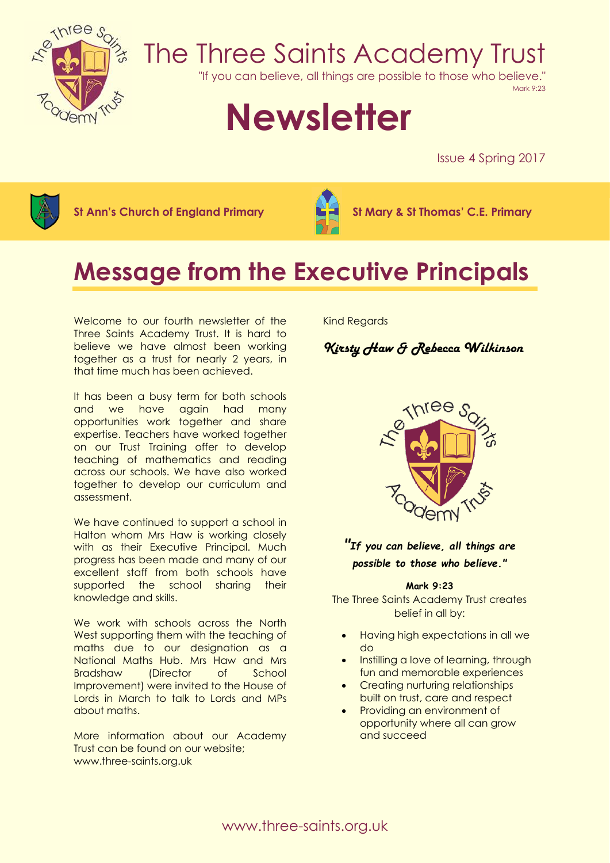

## The Three Saints Academy Trust

"If you can believe, all things are possible to those who believe."

Mark 9:23

# **Newsletter**

Issue 4 Spring 2017



**St Ann's Church of England Primary St Mary & St Thomas' C.E. Primary**



## **Message from the Executive Principals**

Welcome to our fourth newsletter of the Three Saints Academy Trust. It is hard to believe we have almost been working together as a trust for nearly 2 years, in that time much has been achieved.

It has been a busy term for both schools and we have again had many opportunities work together and share expertise. Teachers have worked together on our Trust Training offer to develop teaching of mathematics and reading across our schools. We have also worked together to develop our curriculum and assessment.

We have continued to support a school in Halton whom Mrs Haw is working closely with as their Executive Principal. Much progress has been made and many of our excellent staff from both schools have supported the school sharing their knowledge and skills.

We work with schools across the North West supporting them with the teaching of maths due to our designation as a National Maths Hub. Mrs Haw and Mrs Bradshaw (Director of School Improvement) were invited to the House of Lords in March to talk to Lords and MPs about maths.

More information about our Academy Trust can be found on our website; www.three-saints.org.uk

Kind Regards

## *Kirsty Haw & Rebecca Wilkinson*



## *"If you can believe, all things are possible to those who believe."*

#### **Mark 9:23**

The Three Saints Academy Trust creates belief in all by:

- Having high expectations in all we do
- Instilling a love of learning, through fun and memorable experiences
- Creating nurturing relationships built on trust, care and respect
- Providing an environment of opportunity where all can grow and succeed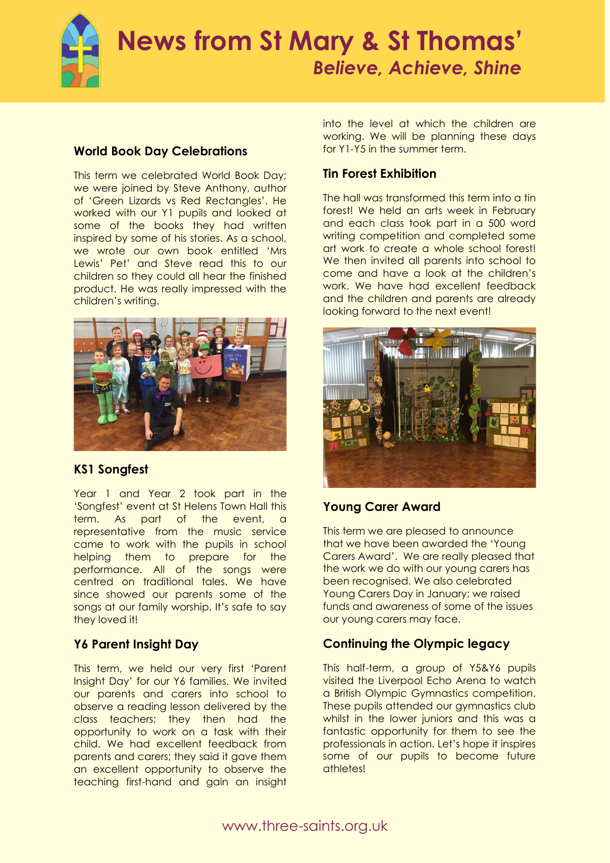## **News from St Mary & St Thomas'**  *Believe, Achieve, Shine*

#### **World Book Day Celebrations**

This term we celebrated World Book Day; we were joined by Steve Anthony, author of 'Green Lizards vs Red Rectangles'. He worked with our Y1 pupils and looked at some of the books they had written inspired by some of his stories. As a school, we wrote our own book entitled 'Mrs Lewis' Pet' and Steve read this to our children so they could all hear the finished product. He was really impressed with the children's writing.



## **KS1 Songfest**

Year 1 and Year 2 took part in the 'Songfest' event at St Helens Town Hall this term. As part of the event, a representative from the music service came to work with the pupils in school helping them to prepare for the performance. All of the songs were centred on traditional tales. We have since showed our parents some of the songs at our family worship. It's safe to say they loved it!

## **Y6 Parent Insight Day**

This term, we held our very first 'Parent Insight Day' for our Y6 families. We invited our parents and carers into school to observe a reading lesson delivered by the class teachers; they then had the opportunity to work on a task with their child. We had excellent feedback from parents and carers; they said it gave them an excellent opportunity to observe the teaching first-hand and gain an insight

into the level at which the children are working. We will be planning these days for Y1-Y5 in the summer term.

## **Tin Forest Exhibition**

The hall was transformed this term into a tin forest! We held an arts week in February and each class took part in a 500 word writing competition and completed some art work to create a whole school forest! We then invited all parents into school to come and have a look at the children's work. We have had excellent feedback and the children and parents are already looking forward to the next event!



## **Young Carer Award**

This term we are pleased to announce that we have been awarded the 'Young Carers Award'. We are really pleased that the work we do with our young carers has been recognised. We also celebrated Young Carers Day in January; we raised funds and awareness of some of the issues our young carers may face.

## **Continuing the Olympic legacy**

This half-term, a group of Y5&Y6 pupils visited the Liverpool Echo Arena to watch a British Olympic Gymnastics competition. These pupils attended our gymnastics club whilst in the lower juniors and this was a fantastic opportunity for them to see the professionals in action. Let's hope it inspires some of our pupils to become future athletes!